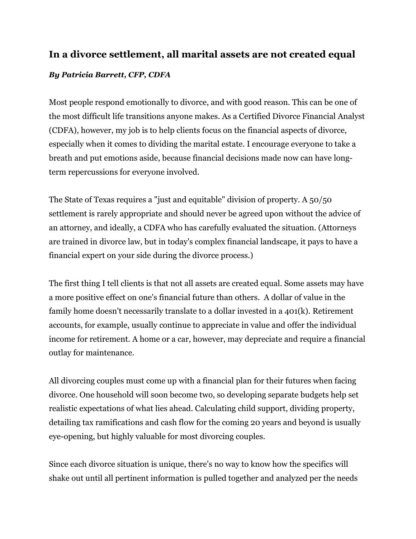## **In a divorce settlement, all marital assets are not created equal**

## *By Patricia Barrett, CFP, CDFA*

Most people respond emotionally to divorce, and with good reason. This can be one of the most difficult life transitions anyone makes. As a Certified Divorce Financial Analyst (CDFA), however, my job is to help clients focus on the financial aspects of divorce, especially when it comes to dividing the marital estate. I encourage everyone to take a breath and put emotions aside, because financial decisions made now can have longterm repercussions for everyone involved.

The State of Texas requires a "just and equitable" division of property. A 50/50 settlement is rarely appropriate and should never be agreed upon without the advice of an attorney, and ideally, a CDFA who has carefully evaluated the situation. (Attorneys are trained in divorce law, but in today's complex financial landscape, it pays to have a financial expert on your side during the divorce process.)

The first thing I tell clients is that not all assets are created equal. Some assets may have a more positive effect on one's financial future than others. A dollar of value in the family home doesn't necessarily translate to a dollar invested in a 401(k). Retirement accounts, for example, usually continue to appreciate in value and offer the individual income for retirement. A home or a car, however, may depreciate and require a financial outlay for maintenance.

All divorcing couples must come up with a financial plan for their futures when facing divorce. One household will soon become two, so developing separate budgets help set realistic expectations of what lies ahead. Calculating child support, dividing property, detailing tax ramifications and cash flow for the coming 20 years and beyond is usually eye-opening, but highly valuable for most divorcing couples.

Since each divorce situation is unique, there's no way to know how the specifics will shake out until all pertinent information is pulled together and analyzed per the needs